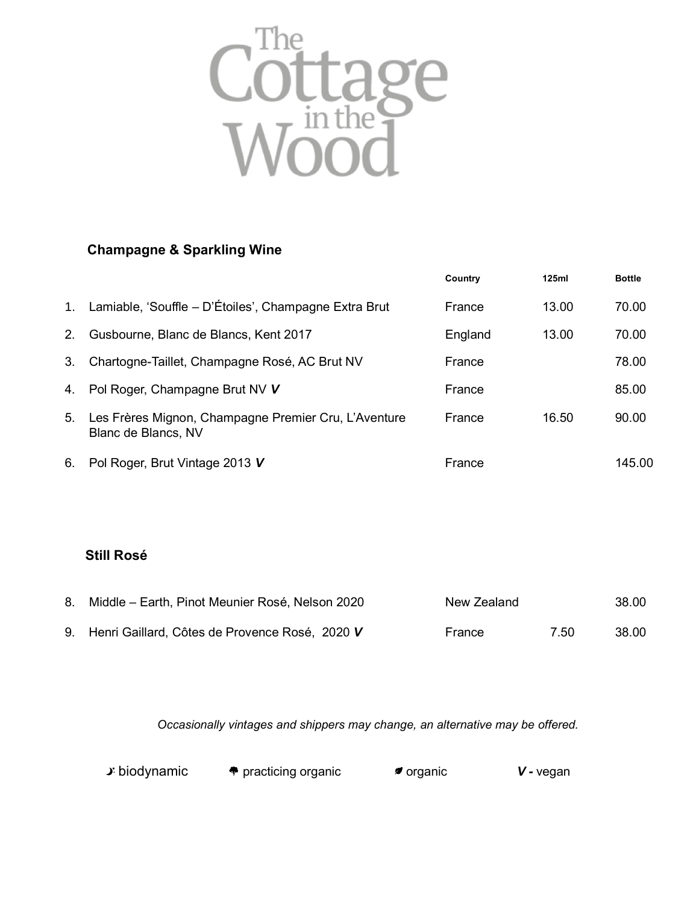

## **Champagne & Sparkling Wine**

|             |                                                                             | Country | 125ml | <b>Bottle</b> |
|-------------|-----------------------------------------------------------------------------|---------|-------|---------------|
| $1_{\cdot}$ | Lamiable, 'Souffle - D'Étoiles', Champagne Extra Brut                       | France  | 13.00 | 70.00         |
| 2.          | Gusbourne, Blanc de Blancs, Kent 2017                                       | England | 13.00 | 70.00         |
| 3.          | Chartogne-Taillet, Champagne Rosé, AC Brut NV                               | France  |       | 78.00         |
| 4.          | Pol Roger, Champagne Brut NV V                                              | France  |       | 85.00         |
| 5.          | Les Frères Mignon, Champagne Premier Cru, L'Aventure<br>Blanc de Blancs, NV | France  | 16.50 | 90.00         |
| 6.          | Pol Roger, Brut Vintage 2013 V                                              | France  |       | 145.00        |

## **Still Rosé**

| 8. Middle – Earth, Pinot Meunier Rosé, Nelson 2020 | New Zealand |      | 38.00 |
|----------------------------------------------------|-------------|------|-------|
| 9. Henri Gaillard, Côtes de Provence Rosé, 2020 V  | France      | 7.50 | 38.00 |

*Occasionally vintages and shippers may change, an alternative may be offered.*

| <b>♪</b> biodynamic | $\bullet$ practicing organic | <i>≉</i> organic | $V$ - vegan |
|---------------------|------------------------------|------------------|-------------|
|---------------------|------------------------------|------------------|-------------|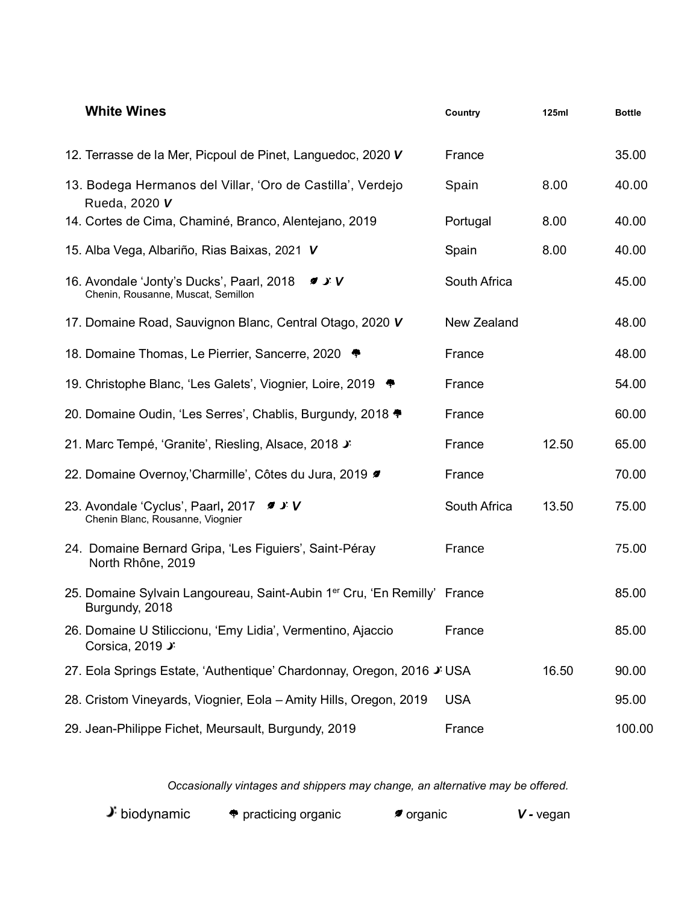| <b>White Wines</b>                                                                                     | Country      | <b>125ml</b> | <b>Bottle</b> |
|--------------------------------------------------------------------------------------------------------|--------------|--------------|---------------|
| 12. Terrasse de la Mer, Picpoul de Pinet, Languedoc, 2020 V                                            | France       |              | 35.00         |
| 13. Bodega Hermanos del Villar, 'Oro de Castilla', Verdejo<br>Rueda, 2020 V                            | Spain        | 8.00         | 40.00         |
| 14. Cortes de Cima, Chaminé, Branco, Alentejano, 2019                                                  | Portugal     | 8.00         | 40.00         |
| 15. Alba Vega, Albariño, Rias Baixas, 2021 V                                                           | Spain        | 8.00         | 40.00         |
| 16. Avondale 'Jonty's Ducks', Paarl, 2018<br>9.5V<br>Chenin, Rousanne, Muscat, Semillon                | South Africa |              | 45.00         |
| 17. Domaine Road, Sauvignon Blanc, Central Otago, 2020 V                                               | New Zealand  |              | 48.00         |
| 18. Domaine Thomas, Le Pierrier, Sancerre, 2020                                                        | France       |              | 48.00         |
| 19. Christophe Blanc, 'Les Galets', Viognier, Loire, 2019                                              | France       |              | 54.00         |
| 20. Domaine Oudin, 'Les Serres', Chablis, Burgundy, 2018                                               | France       |              | 60.00         |
| 21. Marc Tempé, 'Granite', Riesling, Alsace, 2018 J                                                    | France       | 12.50        | 65.00         |
| 22. Domaine Overnoy,'Charmille', Côtes du Jura, 2019                                                   | France       |              | 70.00         |
| 23. Avondale 'Cyclus', Paarl, 2017<br>9.5V<br>Chenin Blanc, Rousanne, Viognier                         | South Africa | 13.50        | 75.00         |
| 24. Domaine Bernard Gripa, 'Les Figuiers', Saint-Péray<br>North Rhône, 2019                            | France       |              | 75.00         |
| 25. Domaine Sylvain Langoureau, Saint-Aubin 1 <sup>er</sup> Cru, 'En Remilly' France<br>Burgundy, 2018 |              |              | 85.00         |
| 26. Domaine U Stiliccionu, 'Emy Lidia', Vermentino, Ajaccio<br>Corsica, 2019 J                         | France       |              | 85.00         |
| 27. Eola Springs Estate, 'Authentique' Chardonnay, Oregon, 2016 J USA                                  |              | 16.50        | 90.00         |
| 28. Cristom Vineyards, Viognier, Eola - Amity Hills, Oregon, 2019                                      | <b>USA</b>   |              | 95.00         |
| 29. Jean-Philippe Fichet, Meursault, Burgundy, 2019                                                    | France       |              | 100.00        |

*Occasionally vintages and shippers may change, an alternative may be offered.*

**J**: biodynamic  $\bullet$  practicing organic **organic v** *v v vegan*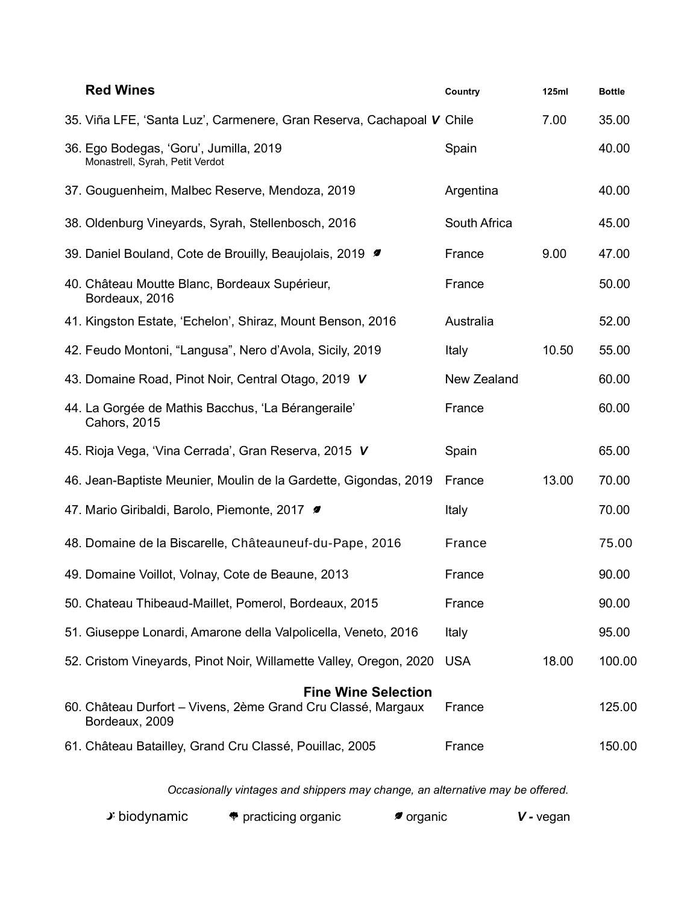| <b>Red Wines</b>                                                                                             | Country      | <b>125ml</b> | <b>Bottle</b> |
|--------------------------------------------------------------------------------------------------------------|--------------|--------------|---------------|
| 35. Viña LFE, 'Santa Luz', Carmenere, Gran Reserva, Cachapoal V Chile                                        |              | 7.00         | 35.00         |
| 36. Ego Bodegas, 'Goru', Jumilla, 2019<br>Monastrell, Syrah, Petit Verdot                                    | Spain        |              | 40.00         |
| 37. Gouguenheim, Malbec Reserve, Mendoza, 2019                                                               | Argentina    |              | 40.00         |
| 38. Oldenburg Vineyards, Syrah, Stellenbosch, 2016                                                           | South Africa |              | 45.00         |
| 39. Daniel Bouland, Cote de Brouilly, Beaujolais, 2019                                                       | France       | 9.00         | 47.00         |
| 40. Château Moutte Blanc, Bordeaux Supérieur,<br>Bordeaux, 2016                                              | France       |              | 50.00         |
| 41. Kingston Estate, 'Echelon', Shiraz, Mount Benson, 2016                                                   | Australia    |              | 52.00         |
| 42. Feudo Montoni, "Langusa", Nero d'Avola, Sicily, 2019                                                     | Italy        | 10.50        | 55.00         |
| 43. Domaine Road, Pinot Noir, Central Otago, 2019 V                                                          | New Zealand  |              | 60.00         |
| 44. La Gorgée de Mathis Bacchus, 'La Bérangeraile'<br><b>Cahors, 2015</b>                                    | France       |              | 60.00         |
| 45. Rioja Vega, 'Vina Cerrada', Gran Reserva, 2015 V                                                         | Spain        |              | 65.00         |
| 46. Jean-Baptiste Meunier, Moulin de la Gardette, Gigondas, 2019                                             | France       | 13.00        | 70.00         |
| 47. Mario Giribaldi, Barolo, Piemonte, 2017 #                                                                | Italy        |              | 70.00         |
| 48. Domaine de la Biscarelle, Châteauneuf-du-Pape, 2016                                                      | France       |              | 75.00         |
| 49. Domaine Voillot, Volnay, Cote de Beaune, 2013                                                            | France       |              | 90.00         |
| 50. Chateau Thibeaud-Maillet, Pomerol, Bordeaux, 2015                                                        | France       |              | 90.00         |
| 51. Giuseppe Lonardi, Amarone della Valpolicella, Veneto, 2016                                               | Italy        |              | 95.00         |
| 52. Cristom Vineyards, Pinot Noir, Willamette Valley, Oregon, 2020                                           | <b>USA</b>   | 18.00        | 100.00        |
| <b>Fine Wine Selection</b><br>60. Château Durfort - Vivens, 2ème Grand Cru Classé, Margaux<br>Bordeaux, 2009 | France       |              | 125.00        |
| 61. Château Batailley, Grand Cru Classé, Pouillac, 2005                                                      | France       |              | 150.00        |

*Occasionally vintages and shippers may change, an alternative may be offered.*

| <b>♪</b> biodynamic | $\bullet$ practicing organic | <i>■</i> organic | $V$ - vegan |
|---------------------|------------------------------|------------------|-------------|
|---------------------|------------------------------|------------------|-------------|